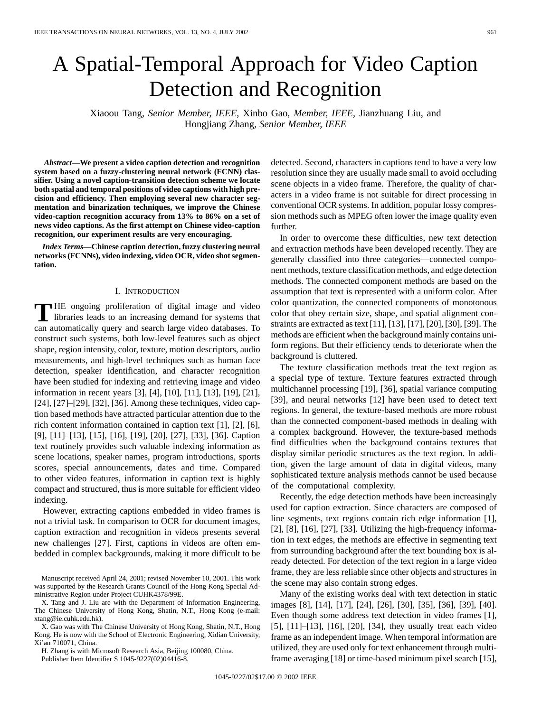# A Spatial-Temporal Approach for Video Caption Detection and Recognition

Xiaoou Tang*, Senior Member, IEEE*, Xinbo Gao*, Member, IEEE*, Jianzhuang Liu, and Hongjiang Zhang*, Senior Member, IEEE*

*Abstract—***We present a video caption detection and recognition system based on a fuzzy-clustering neural network (FCNN) classifier. Using a novel caption-transition detection scheme we locate both spatial and temporal positions of video captions with high precision and efficiency. Then employing several new character segmentation and binarization techniques, we improve the Chinese video-caption recognition accuracy from 13% to 86% on a set of news video captions. As the first attempt on Chinese video-caption recognition, our experiment results are very encouraging.**

*Index Terms—***Chinese caption detection, fuzzy clustering neural networks (FCNNs), video indexing, video OCR, video shot segmentation.**

#### I. INTRODUCTION

**T** HE ongoing proliferation of digital image and video libraries leads to an increasing demand for systems that can automatically query and search large video databases. To construct such systems, both low-level features such as object shape, region intensity, color, texture, motion descriptors, audio measurements, and high-level techniques such as human face detection, speaker identification, and character recognition have been studied for indexing and retrieving image and video information in recent years [3], [4], [10], [11], [13], [19], [21], [24], [27]–[29], [32], [36]. Among these techniques, video caption based methods have attracted particular attention due to the rich content information contained in caption text [1], [2], [6], [9], [11]–[13], [15], [16], [19], [20], [27], [33], [36]. Caption text routinely provides such valuable indexing information as scene locations, speaker names, program introductions, sports scores, special announcements, dates and time. Compared to other video features, information in caption text is highly compact and structured, thus is more suitable for efficient video indexing.

However, extracting captions embedded in video frames is not a trivial task. In comparison to OCR for document images, caption extraction and recognition in videos presents several new challenges [27]. First, captions in videos are often embedded in complex backgrounds, making it more difficult to be

Manuscript received April 24, 2001; revised November 10, 2001. This work was supported by the Research Grants Council of the Hong Kong Special Administrative Region under Project CUHK4378/99E.

X. Tang and J. Liu are with the Department of Information Engineering, The Chinese University of Hong Kong, Shatin, N.T., Hong Kong (e-mail: xtang@ie.cuhk.edu.hk).

X. Gao was with The Chinese University of Hong Kong, Shatin, N.T., Hong Kong. He is now with the School of Electronic Engineering, Xidian University, Xi'an 710071, China.

H. Zhang is with Microsoft Research Asia, Beijing 100080, China. Publisher Item Identifier S 1045-9227(02)04416-8.

detected. Second, characters in captions tend to have a very low resolution since they are usually made small to avoid occluding scene objects in a video frame. Therefore, the quality of characters in a video frame is not suitable for direct processing in conventional OCR systems. In addition, popular lossy compression methods such as MPEG often lower the image quality even further.

In order to overcome these difficulties, new text detection and extraction methods have been developed recently. They are generally classified into three categories—connected component methods, texture classification methods, and edge detection methods. The connected component methods are based on the assumption that text is represented with a uniform color. After color quantization, the connected components of monotonous color that obey certain size, shape, and spatial alignment constraints are extracted as text [11], [13], [17], [20], [30], [39]. The methods are efficient when the background mainly contains uniform regions. But their efficiency tends to deteriorate when the background is cluttered.

The texture classification methods treat the text region as a special type of texture. Texture features extracted through multichannel processing [19], [36], spatial variance computing [39], and neural networks [12] have been used to detect text regions. In general, the texture-based methods are more robust than the connected component-based methods in dealing with a complex background. However, the texture-based methods find difficulties when the background contains textures that display similar periodic structures as the text region. In addition, given the large amount of data in digital videos, many sophisticated texture analysis methods cannot be used because of the computational complexity.

Recently, the edge detection methods have been increasingly used for caption extraction. Since characters are composed of line segments, text regions contain rich edge information [1], [2], [8], [16], [27], [33]. Utilizing the high-frequency information in text edges, the methods are effective in segmenting text from surrounding background after the text bounding box is already detected. For detection of the text region in a large video frame, they are less reliable since other objects and structures in the scene may also contain strong edges.

Many of the existing works deal with text detection in static images [8], [14], [17], [24], [26], [30], [35], [36], [39], [40]. Even though some address text detection in video frames [1], [5], [11]–[13], [16], [20], [34], they usually treat each video frame as an independent image. When temporal information are utilized, they are used only for text enhancement through multiframe averaging [18] or time-based minimum pixel search [15],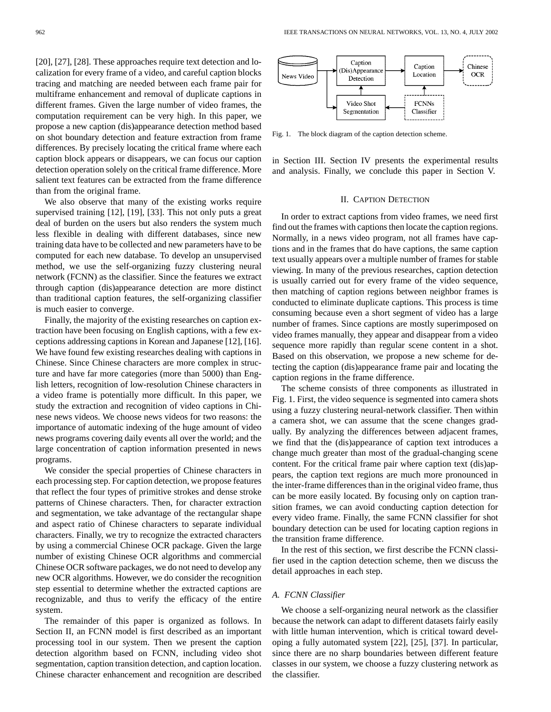[20], [27], [28]. These approaches require text detection and localization for every frame of a video, and careful caption blocks tracing and matching are needed between each frame pair for multiframe enhancement and removal of duplicate captions in different frames. Given the large number of video frames, the computation requirement can be very high. In this paper, we propose a new caption (dis)appearance detection method based on shot boundary detection and feature extraction from frame differences. By precisely locating the critical frame where each caption block appears or disappears, we can focus our caption detection operation solely on the critical frame difference. More salient text features can be extracted from the frame difference than from the original frame.

We also observe that many of the existing works require supervised training [12], [19], [33]. This not only puts a great deal of burden on the users but also renders the system much less flexible in dealing with different databases, since new training data have to be collected and new parameters have to be computed for each new database. To develop an unsupervised method, we use the self-organizing fuzzy clustering neural network (FCNN) as the classifier. Since the features we extract through caption (dis)appearance detection are more distinct than traditional caption features, the self-organizing classifier is much easier to converge.

Finally, the majority of the existing researches on caption extraction have been focusing on English captions, with a few exceptions addressing captions in Korean and Japanese [12], [16]. We have found few existing researches dealing with captions in Chinese. Since Chinese characters are more complex in structure and have far more categories (more than 5000) than English letters, recognition of low-resolution Chinese characters in a video frame is potentially more difficult. In this paper, we study the extraction and recognition of video captions in Chinese news videos. We choose news videos for two reasons: the importance of automatic indexing of the huge amount of video news programs covering daily events all over the world; and the large concentration of caption information presented in news programs.

We consider the special properties of Chinese characters in each processing step. For caption detection, we propose features that reflect the four types of primitive strokes and dense stroke patterns of Chinese characters. Then, for character extraction and segmentation, we take advantage of the rectangular shape and aspect ratio of Chinese characters to separate individual characters. Finally, we try to recognize the extracted characters by using a commercial Chinese OCR package. Given the large number of existing Chinese OCR algorithms and commercial Chinese OCR software packages, we do not need to develop any new OCR algorithms. However, we do consider the recognition step essential to determine whether the extracted captions are recognizable, and thus to verify the efficacy of the entire system.

The remainder of this paper is organized as follows. In Section II, an FCNN model is first described as an important processing tool in our system. Then we present the caption detection algorithm based on FCNN, including video shot segmentation, caption transition detection, and caption location. Chinese character enhancement and recognition are described



Fig. 1. The block diagram of the caption detection scheme.

in Section III. Section IV presents the experimental results and analysis. Finally, we conclude this paper in Section V.

#### II. CAPTION DETECTION

In order to extract captions from video frames, we need first find out the frames with captions then locate the caption regions. Normally, in a news video program, not all frames have captions and in the frames that do have captions, the same caption text usually appears over a multiple number of frames for stable viewing. In many of the previous researches, caption detection is usually carried out for every frame of the video sequence, then matching of caption regions between neighbor frames is conducted to eliminate duplicate captions. This process is time consuming because even a short segment of video has a large number of frames. Since captions are mostly superimposed on video frames manually, they appear and disappear from a video sequence more rapidly than regular scene content in a shot. Based on this observation, we propose a new scheme for detecting the caption (dis)appearance frame pair and locating the caption regions in the frame difference.

The scheme consists of three components as illustrated in Fig. 1. First, the video sequence is segmented into camera shots using a fuzzy clustering neural-network classifier. Then within a camera shot, we can assume that the scene changes gradually. By analyzing the differences between adjacent frames, we find that the (dis)appearance of caption text introduces a change much greater than most of the gradual-changing scene content. For the critical frame pair where caption text (dis)appears, the caption text regions are much more pronounced in the inter-frame differences than in the original video frame, thus can be more easily located. By focusing only on caption transition frames, we can avoid conducting caption detection for every video frame. Finally, the same FCNN classifier for shot boundary detection can be used for locating caption regions in the transition frame difference.

In the rest of this section, we first describe the FCNN classifier used in the caption detection scheme, then we discuss the detail approaches in each step.

## *A. FCNN Classifier*

We choose a self-organizing neural network as the classifier because the network can adapt to different datasets fairly easily with little human intervention, which is critical toward developing a fully automated system [22], [25], [37]. In particular, since there are no sharp boundaries between different feature classes in our system, we choose a fuzzy clustering network as the classifier.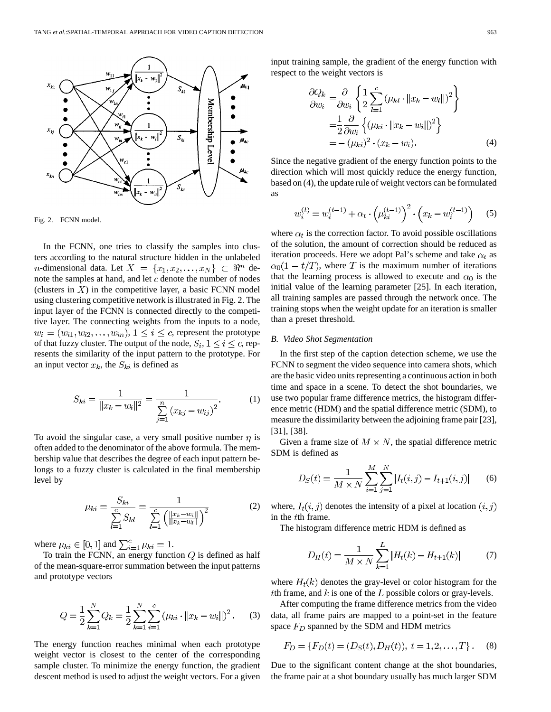

Fig. 2. FCNN model.

In the FCNN, one tries to classify the samples into clusters according to the natural structure hidden in the unlabeled *n*-dimensional data. Let  $X = \{x_1, x_2, \ldots, x_N\} \subset \mathbb{R}^n$  denote the samples at hand, and let  $c$  denote the number of nodes (clusters in  $X$ ) in the competitive layer, a basic FCNN model using clustering competitive network is illustrated in Fig. 2. The input layer of the FCNN is connected directly to the competitive layer. The connecting weights from the inputs to a node,  $w_i = (w_{i1}, w_{i2}, \dots, w_{in}), 1 \leq i \leq c$ , represent the prototype of that fuzzy cluster. The output of the node,  $S_i$ ,  $1 \le i \le c$ , represents the similarity of the input pattern to the prototype. For an input vector  $x_k$ , the  $S_{ki}$  is defined as

$$
S_{ki} = \frac{1}{\|x_k - w_i\|^2} = \frac{1}{\sum_{j=1}^n (x_{kj} - w_{ij})^2}.
$$
 (1)

To avoid the singular case, a very small positive number  $\eta$  is often added to the denominator of the above formula. The membership value that describes the degree of each input pattern belongs to a fuzzy cluster is calculated in the final membership level by

$$
\mu_{ki} = \frac{S_{ki}}{\sum_{l=1}^{c} S_{kl}} = \frac{1}{\sum_{l=1}^{c} \left( \frac{\|x_k - w_i\|}{\|x_k - w_l\|} \right)^2}
$$
(2)

where  $\mu_{ki} \in [0,1]$  and  $\sum_{i=1}^{c} \mu_{ki} = 1$ .

To train the FCNN, an energy function  $Q$  is defined as half of the mean-square-error summation between the input patterns and prototype vectors

$$
Q = \frac{1}{2} \sum_{k=1}^{N} Q_k = \frac{1}{2} \sum_{k=1}^{N} \sum_{i=1}^{c} (\mu_{ki} \cdot ||x_k - w_i||)^2.
$$
 (3)

The energy function reaches minimal when each prototype weight vector is closest to the center of the corresponding sample cluster. To minimize the energy function, the gradient descent method is used to adjust the weight vectors. For a given input training sample, the gradient of the energy function with respect to the weight vectors is

$$
\frac{\partial Q_k}{\partial w_i} = \frac{\partial}{\partial w_i} \left\{ \frac{1}{2} \sum_{l=1}^c (\mu_{kl} \cdot ||x_k - w_l||)^2 \right\}
$$

$$
= \frac{1}{2} \frac{\partial}{\partial w_i} \left\{ (\mu_{ki} \cdot ||x_k - w_i||)^2 \right\}
$$

$$
= - (\mu_{ki})^2 \cdot (x_k - w_i). \tag{4}
$$

Since the negative gradient of the energy function points to the direction which will most quickly reduce the energy function, based on (4), the update rule of weight vectors can be formulated as

$$
w_i^{(t)} = w_i^{(t-1)} + \alpha_t \cdot \left(\mu_{ki}^{(t-1)}\right)^2 \cdot \left(x_k - w_i^{(t-1)}\right) \tag{5}
$$

where  $\alpha_t$  is the correction factor. To avoid possible oscillations of the solution, the amount of correction should be reduced as iteration proceeds. Here we adopt Pal's scheme and take  $\alpha_t$  as  $\alpha_0(1-t/T)$ , where T is the maximum number of iterations that the learning process is allowed to execute and  $\alpha_0$  is the initial value of the learning parameter [25]. In each iteration, all training samples are passed through the network once. The training stops when the weight update for an iteration is smaller than a preset threshold.

## *B. Video Shot Segmentation*

In the first step of the caption detection scheme, we use the FCNN to segment the video sequence into camera shots, which are the basic video units representing a continuous action in both time and space in a scene. To detect the shot boundaries, we use two popular frame difference metrics, the histogram difference metric (HDM) and the spatial difference metric (SDM), to measure the dissimilarity between the adjoining frame pair [23], [31], [38].

Given a frame size of  $M \times N$ , the spatial difference metric SDM is defined as

$$
D_S(t) = \frac{1}{M \times N} \sum_{i=1}^{M} \sum_{j=1}^{N} |I_t(i,j) - I_{t+1}(i,j)| \qquad (6)
$$

where,  $I_t(i, j)$  denotes the intensity of a pixel at location  $(i, j)$ in the th frame.

The histogram difference metric HDM is defined as

$$
D_H(t) = \frac{1}{M \times N} \sum_{k=1}^{L} |H_t(k) - H_{t+1}(k)| \tag{7}
$$

where  $H_t(k)$  denotes the gray-level or color histogram for the th frame, and  $k$  is one of the  $L$  possible colors or gray-levels.

After computing the frame difference metrics from the video data, all frame pairs are mapped to a point-set in the feature space  $F_D$  spanned by the SDM and HDM metrics

$$
F_D = \{F_D(t) = (D_S(t), D_H(t)), t = 1, 2, \dots, T\}.
$$
 (8)

Due to the significant content change at the shot boundaries, the frame pair at a shot boundary usually has much larger SDM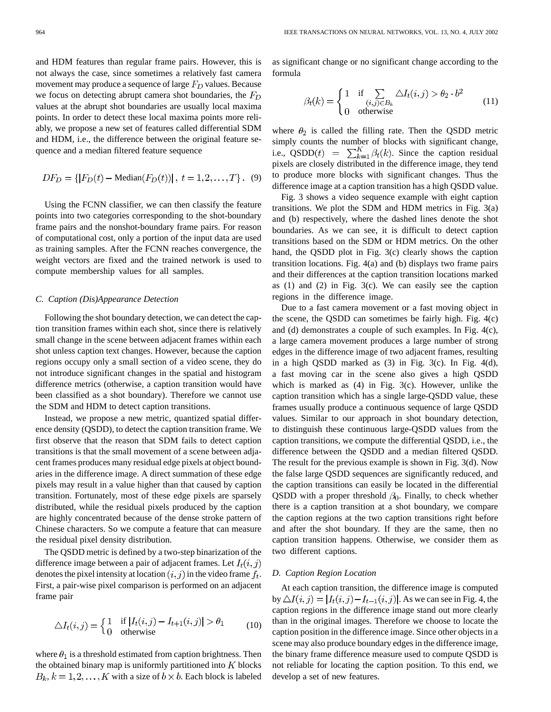and HDM features than regular frame pairs. However, this is not always the case, since sometimes a relatively fast camera movement may produce a sequence of large  $F_D$  values. Because we focus on detecting abrupt camera shot boundaries, the  $F_D$ values at the abrupt shot boundaries are usually local maxima points. In order to detect these local maxima points more reliably, we propose a new set of features called differential SDM and HDM, i.e., the difference between the original feature sequence and a median filtered feature sequence

$$
DF_D = \{ [F_D(t) - \text{Median}(F_D(t))], t = 1, 2, ..., T \}.
$$
 (9)

Using the FCNN classifier, we can then classify the feature points into two categories corresponding to the shot-boundary frame pairs and the nonshot-boundary frame pairs. For reason of computational cost, only a portion of the input data are used as training samples. After the FCNN reaches convergence, the weight vectors are fixed and the trained network is used to compute membership values for all samples.

## *C. Caption (Dis)Appearance Detection*

Following the shot boundary detection, we can detect the caption transition frames within each shot, since there is relatively small change in the scene between adjacent frames within each shot unless caption text changes. However, because the caption regions occupy only a small section of a video scene, they do not introduce significant changes in the spatial and histogram difference metrics (otherwise, a caption transition would have been classified as a shot boundary). Therefore we cannot use the SDM and HDM to detect caption transitions.

Instead, we propose a new metric, quantized spatial difference density (QSDD), to detect the caption transition frame. We first observe that the reason that SDM fails to detect caption transitions is that the small movement of a scene between adjacent frames produces many residual edge pixels at object boundaries in the difference image. A direct summation of these edge pixels may result in a value higher than that caused by caption transition. Fortunately, most of these edge pixels are sparsely distributed, while the residual pixels produced by the caption are highly concentrated because of the dense stroke pattern of Chinese characters. So we compute a feature that can measure the residual pixel density distribution.

The QSDD metric is defined by a two-step binarization of the difference image between a pair of adjacent frames. Let  $I_t(i, j)$ denotes the pixel intensity at location  $(i, j)$  in the video frame  $f_t$ . First, a pair-wise pixel comparison is performed on an adjacent frame pair

$$
\triangle I_t(i,j) = \begin{cases} 1 & \text{if } |I_t(i,j) - I_{t+1}(i,j)| > \theta_1 \\ 0 & \text{otherwise} \end{cases}
$$
 (10)

where  $\theta_1$  is a threshold estimated from caption brightness. Then the obtained binary map is uniformly partitioned into  $K$  blocks  $B_k, k = 1, 2, \dots, K$  with a size of  $b \times b$ . Each block is labeled as significant change or no significant change according to the formula

$$
\beta_t(k) = \begin{cases} 1 & \text{if } \sum_{(i,j)\in B_k} \Delta I_t(i,j) > \theta_2 \cdot b^2 \\ 0 & \text{otherwise} \end{cases}
$$
 (11)

where  $\theta_2$  is called the filling rate. Then the QSDD metric simply counts the number of blocks with significant change, i.e.,  $QSDD(t) = \sum_{k=1}^{n} \beta_t(k)$ . Since the caption residual pixels are closely distributed in the difference image, they tend to produce more blocks with significant changes. Thus the difference image at a caption transition has a high QSDD value.

Fig. 3 shows a video sequence example with eight caption transitions. We plot the SDM and HDM metrics in Fig. 3(a) and (b) respectively, where the dashed lines denote the shot boundaries. As we can see, it is difficult to detect caption transitions based on the SDM or HDM metrics. On the other hand, the QSDD plot in Fig. 3(c) clearly shows the caption transition locations. Fig. 4(a) and (b) displays two frame pairs and their differences at the caption transition locations marked as (1) and (2) in Fig. 3(c). We can easily see the caption regions in the difference image.

Due to a fast camera movement or a fast moving object in the scene, the QSDD can sometimes be fairly high. Fig. 4(c) and (d) demonstrates a couple of such examples. In Fig. 4(c), a large camera movement produces a large number of strong edges in the difference image of two adjacent frames, resulting in a high QSDD marked as (3) in Fig. 3(c). In Fig. 4(d), a fast moving car in the scene also gives a high QSDD which is marked as (4) in Fig. 3(c). However, unlike the caption transition which has a single large-QSDD value, these frames usually produce a continuous sequence of large QSDD values. Similar to our approach in shot boundary detection, to distinguish these continuous large-QSDD values from the caption transitions, we compute the differential QSDD, i.e., the difference between the QSDD and a median filtered QSDD. The result for the previous example is shown in Fig. 3(d). Now the false large QSDD sequences are significantly reduced, and the caption transitions can easily be located in the differential QSDD with a proper threshold  $\beta_0$ . Finally, to check whether there is a caption transition at a shot boundary, we compare the caption regions at the two caption transitions right before and after the shot boundary. If they are the same, then no caption transition happens. Otherwise, we consider them as two different captions.

## *D. Caption Region Location*

At each caption transition, the difference image is computed by  $\Delta I(i, j) = |I_t(i, j) - I_{t-1}(i, j)|$ . As we can see in Fig. 4, the caption regions in the difference image stand out more clearly than in the original images. Therefore we choose to locate the caption position in the difference image. Since other objects in a scene may also produce boundary edges in the difference image, the binary frame difference measure used to compute QSDD is not reliable for locating the caption position. To this end, we develop a set of new features.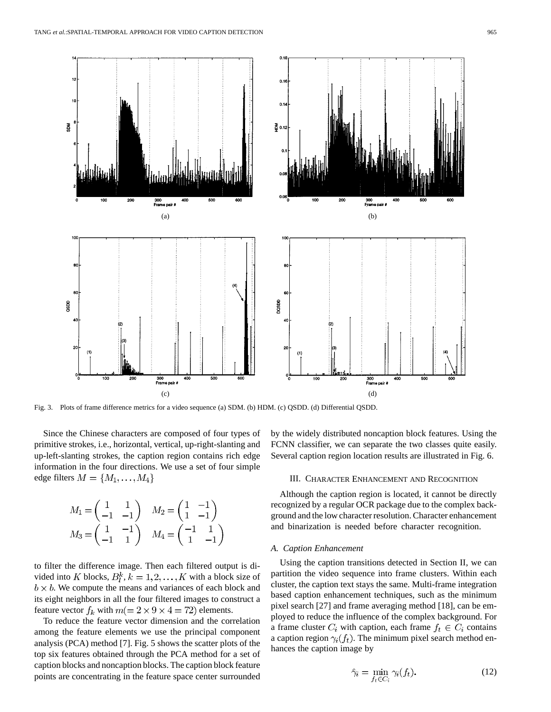

Fig. 3. Plots of frame difference metrics for a video sequence (a) SDM. (b) HDM. (c) QSDD. (d) Differential QSDD.

Since the Chinese characters are composed of four types of primitive strokes, i.e., horizontal, vertical, up-right-slanting and up-left-slanting strokes, the caption region contains rich edge information in the four directions. We use a set of four simple edge filters  $M = \{M_1, \ldots, M_4\}$ 

$$
M_1 = \begin{pmatrix} 1 & 1 \\ -1 & -1 \end{pmatrix} \quad M_2 = \begin{pmatrix} 1 & -1 \\ 1 & -1 \end{pmatrix}
$$
  

$$
M_3 = \begin{pmatrix} 1 & -1 \\ -1 & 1 \end{pmatrix} \quad M_4 = \begin{pmatrix} -1 & 1 \\ 1 & -1 \end{pmatrix}
$$

to filter the difference image. Then each filtered output is divided into K blocks,  $B_l^k$ ,  $k = 1, 2, \ldots, K$  with a block size of  $b \times b$ . We compute the means and variances of each block and its eight neighbors in all the four filtered images to construct a feature vector  $f_k$  with  $m (= 2 \times 9 \times 4 = 72)$  elements.

To reduce the feature vector dimension and the correlation among the feature elements we use the principal component analysis (PCA) method [7]. Fig. 5 shows the scatter plots of the top six features obtained through the PCA method for a set of caption blocks and noncaption blocks. The caption block feature points are concentrating in the feature space center surrounded by the widely distributed noncaption block features. Using the FCNN classifier, we can separate the two classes quite easily. Several caption region location results are illustrated in Fig. 6.

## III. CHARACTER ENHANCEMENT AND RECOGNITION

Although the caption region is located, it cannot be directly recognized by a regular OCR package due to the complex background and the low character resolution. Character enhancement and binarization is needed before character recognition.

## *A. Caption Enhancement*

Using the caption transitions detected in Section II, we can partition the video sequence into frame clusters. Within each cluster, the caption text stays the same. Multi-frame integration based caption enhancement techniques, such as the minimum pixel search [27] and frame averaging method [18], can be employed to reduce the influence of the complex background. For a frame cluster  $C_i$  with caption, each frame  $f_t \in C_i$  contains a caption region  $\gamma_i(f_t)$ . The minimum pixel search method enhances the caption image by

$$
\hat{\gamma}_i = \min_{f_t \in C_i} \gamma_i(f_t). \tag{12}
$$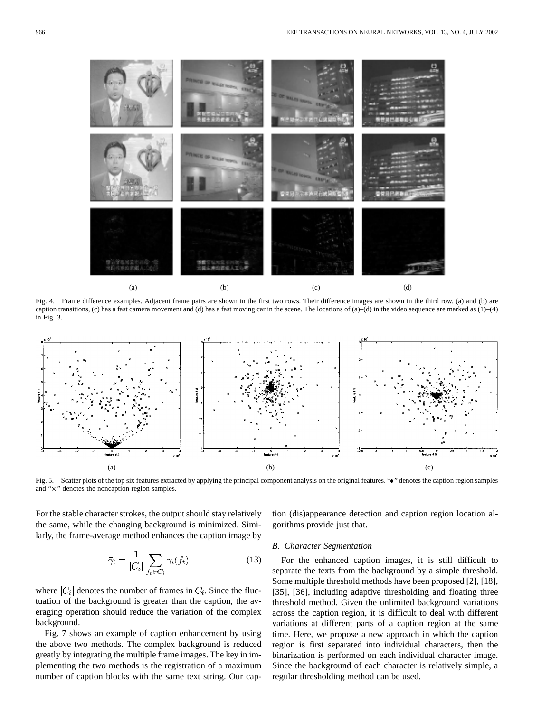

Fig. 4. Frame difference examples. Adjacent frame pairs are shown in the first two rows. Their difference images are shown in the third row. (a) and (b) are caption transitions, (c) has a fast camera movement and (d) has a fast moving car in the scene. The locations of (a)–(d) in the video sequence are marked as (1)–(4) in Fig. 3.



Fig. 5. Scatter plots of the top six features extracted by applying the principal component analysis on the original features. " $\bullet$ " denotes the caption region samples and "x" denotes the noncaption region samples.

For the stable character strokes, the output should stay relatively the same, while the changing background is minimized. Similarly, the frame-average method enhances the caption image by

$$
\bar{\gamma}_i = \frac{1}{|C_i|} \sum_{f_t \in C_i} \gamma_i(f_t) \tag{13}
$$

where  $|C_i|$  denotes the number of frames in  $C_i$ . Since the fluctuation of the background is greater than the caption, the averaging operation should reduce the variation of the complex background.

Fig. 7 shows an example of caption enhancement by using the above two methods. The complex background is reduced greatly by integrating the multiple frame images. The key in implementing the two methods is the registration of a maximum number of caption blocks with the same text string. Our caption (dis)appearance detection and caption region location algorithms provide just that.

## *B. Character Segmentation*

For the enhanced caption images, it is still difficult to separate the texts from the background by a simple threshold. Some multiple threshold methods have been proposed [2], [18], [35], [36], including adaptive thresholding and floating three threshold method. Given the unlimited background variations across the caption region, it is difficult to deal with different variations at different parts of a caption region at the same time. Here, we propose a new approach in which the caption region is first separated into individual characters, then the binarization is performed on each individual character image. Since the background of each character is relatively simple, a regular thresholding method can be used.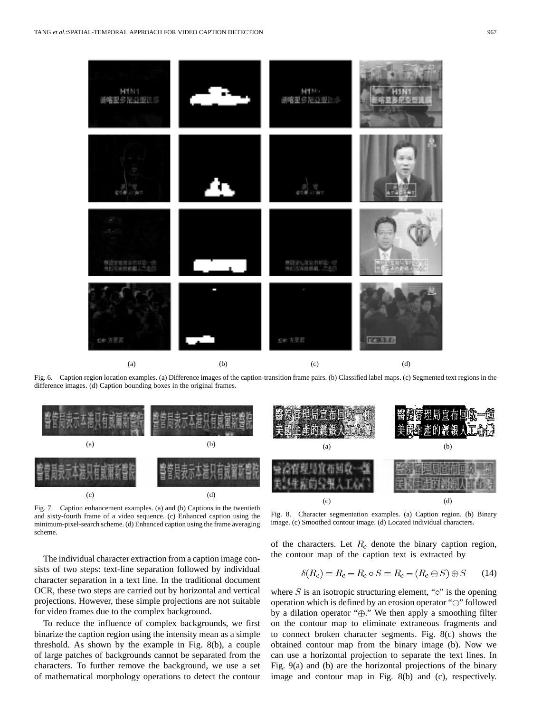

Fig. 6. Caption region location examples. (a) Difference images of the caption-transition frame pairs. (b) Classified label maps. (c) Segmented text regions in the difference images. (d) Caption bounding boxes in the original frames.



Fig. 7. Caption enhancement examples. (a) and (b) Captions in the twentieth and sixty-fourth frame of a video sequence. (c) Enhanced caption using the minimum-pixel-search scheme. (d) Enhanced caption using the frame averaging scheme.

Fig. 8. Character segmentation examples. (a) Caption region. (b) Binary image. (c) Smoothed contour image. (d) Located individual characters.

The individual character extraction from a caption image consists of two steps: text-line separation followed by individual character separation in a text line. In the traditional document OCR, these two steps are carried out by horizontal and vertical projections. However, these simple projections are not suitable for video frames due to the complex background.

To reduce the influence of complex backgrounds, we first binarize the caption region using the intensity mean as a simple threshold. As shown by the example in Fig. 8(b), a couple of large patches of backgrounds cannot be separated from the characters. To further remove the background, we use a set of mathematical morphology operations to detect the contour

of the characters. Let  $R_c$  denote the binary caption region, the contour map of the caption text is extracted by

$$
\delta(R_c) = R_c - R_c \circ S = R_c - (R_c \ominus S) \oplus S \qquad (14)
$$

where  $S$  is an isotropic structuring element, " $\circ$ " is the opening operation which is defined by an erosion operator " $\ominus$ " followed by a dilation operator " $\oplus$ ." We then apply a smoothing filter on the contour map to eliminate extraneous fragments and to connect broken character segments. Fig. 8(c) shows the obtained contour map from the binary image (b). Now we can use a horizontal projection to separate the text lines. In Fig. 9(a) and (b) are the horizontal projections of the binary image and contour map in Fig. 8(b) and (c), respectively.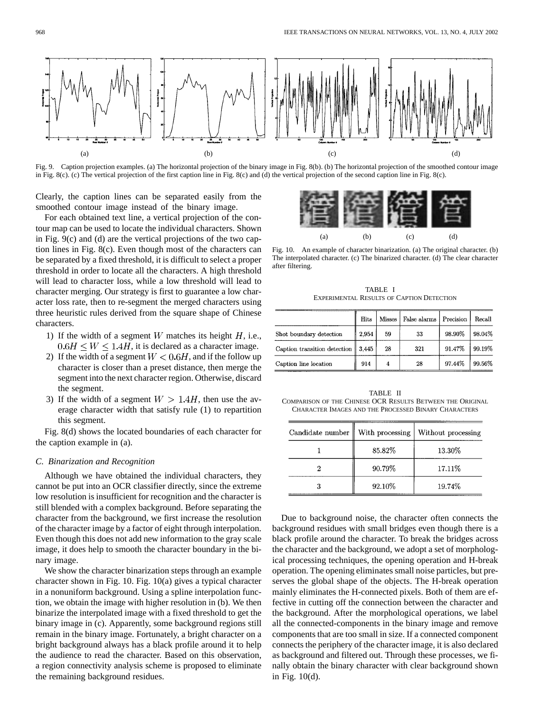

Fig. 9. Caption projection examples. (a) The horizontal projection of the binary image in Fig. 8(b). (b) The horizontal projection of the smoothed contour image in Fig. 8(c). (c) The vertical projection of the first caption line in Fig. 8(c) and (d) the vertical projection of the second caption line in Fig. 8(c).

Clearly, the caption lines can be separated easily from the smoothed contour image instead of the binary image.

For each obtained text line, a vertical projection of the contour map can be used to locate the individual characters. Shown in Fig. 9(c) and (d) are the vertical projections of the two caption lines in Fig. 8(c). Even though most of the characters can be separated by a fixed threshold, it is difficult to select a proper threshold in order to locate all the characters. A high threshold will lead to character loss, while a low threshold will lead to character merging. Our strategy is first to guarantee a low character loss rate, then to re-segment the merged characters using three heuristic rules derived from the square shape of Chinese characters.

- 1) If the width of a segment  $W$  matches its height  $H$ , i.e.,  $0.6H \leq W \leq 1.4H$ , it is declared as a character image.
- 2) If the width of a segment  $W < 0.6H$ , and if the follow up character is closer than a preset distance, then merge the segment into the next character region. Otherwise, discard the segment.
- 3) If the width of a segment  $W > 1.4H$ , then use the average character width that satisfy rule (1) to repartition this segment.

Fig. 8(d) shows the located boundaries of each character for the caption example in (a).

## *C. Binarization and Recognition*

Although we have obtained the individual characters, they cannot be put into an OCR classifier directly, since the extreme low resolution is insufficient for recognition and the character is still blended with a complex background. Before separating the character from the background, we first increase the resolution of the character image by a factor of eight through interpolation. Even though this does not add new information to the gray scale image, it does help to smooth the character boundary in the binary image.

We show the character binarization steps through an example character shown in Fig. 10. Fig. 10(a) gives a typical character in a nonuniform background. Using a spline interpolation function, we obtain the image with higher resolution in (b). We then binarize the interpolated image with a fixed threshold to get the binary image in (c). Apparently, some background regions still remain in the binary image. Fortunately, a bright character on a bright background always has a black profile around it to help the audience to read the character. Based on this observation, a region connectivity analysis scheme is proposed to eliminate the remaining background residues.



Fig. 10. An example of character binarization. (a) The original character. (b) The interpolated character. (c) The binarized character. (d) The clear character after filtering.

TABLE I EXPERIMENTAL RESULTS OF CAPTION DETECTION

|                              | Hits  | Misses | False alarms | Precision | Recall |
|------------------------------|-------|--------|--------------|-----------|--------|
| Shot boundary detection      | 2.954 | 59     | 33           | 98.90%    | 98.04% |
| Caption transition detection | 3.445 | 28     | 321          | 91.47%    | 99.19% |
| Caption line location        | 914   | 4      | 28           | 97.44%    | 99.56% |

TABLE II COMPARISON OF THE CHINESE OCR RESULTS BETWEEN THE ORIGINAL CHARACTER IMAGES AND THE PROCESSED BINARY CHARACTERS

| Candidate number $\parallel$ | With processing | Without processing |
|------------------------------|-----------------|--------------------|
|                              | 85.82%          | 13.30%             |
|                              | 90.79%          | 17.11%             |
| 2                            | 92.10%          | 19.74%             |

Due to background noise, the character often connects the background residues with small bridges even though there is a black profile around the character. To break the bridges across the character and the background, we adopt a set of morphological processing techniques, the opening operation and H-break operation. The opening eliminates small noise particles, but preserves the global shape of the objects. The H-break operation mainly eliminates the H-connected pixels. Both of them are effective in cutting off the connection between the character and the background. After the morphological operations, we label all the connected-components in the binary image and remove components that are too small in size. If a connected component connects the periphery of the character image, it is also declared as background and filtered out. Through these processes, we finally obtain the binary character with clear background shown in Fig. 10(d).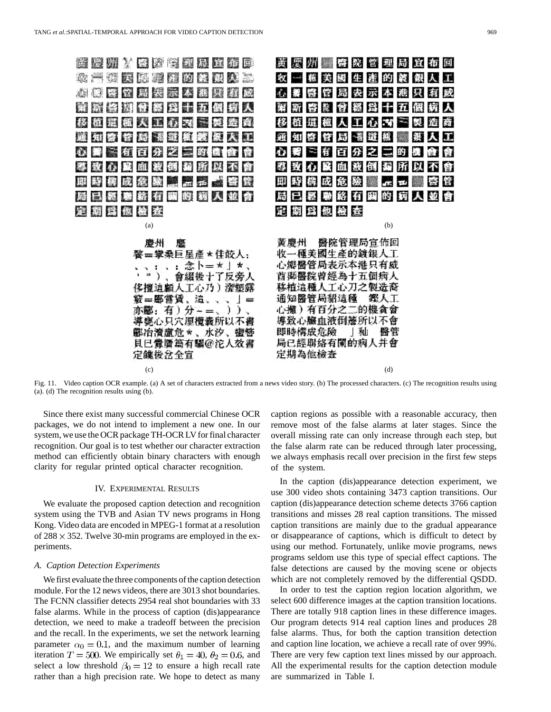

Fig. 11. Video caption OCR example. (a) A set of characters extracted from a news video story. (b) The processed characters. (c) The recognition results using (a). (d) The recognition results using (b).

Since there exist many successful commercial Chinese OCR packages, we do not intend to implement a new one. In our system, we use the OCR package TH-OCR LV for final character recognition. Our goal is to test whether our character extraction method can efficiently obtain binary characters with enough clarity for regular printed optical character recognition.

## IV. EXPERIMENTAL RESULTS

We evaluate the proposed caption detection and recognition system using the TVB and Asian TV news programs in Hong Kong. Video data are encoded in MPEG-1 format at a resolution of  $288 \times 352$ . Twelve 30-min programs are employed in the experiments.

## *A. Caption Detection Experiments*

We first evaluate the three components of the caption detection module. For the 12 news videos, there are 3013 shot boundaries. The FCNN classifier detects 2954 real shot boundaries with 33 false alarms. While in the process of caption (dis)appearance detection, we need to make a tradeoff between the precision and the recall. In the experiments, we set the network learning parameter  $\alpha_0 = 0.1$ , and the maximum number of learning iteration  $T = 500$ . We empirically set  $\theta_1 = 40$ ,  $\theta_2 = 0.6$ , and select a low threshold  $\beta_0 = 12$  to ensure a high recall rate rather than a high precision rate. We hope to detect as many caption regions as possible with a reasonable accuracy, then remove most of the false alarms at later stages. Since the overall missing rate can only increase through each step, but the false alarm rate can be reduced through later processing, we always emphasis recall over precision in the first few steps of the system.

In the caption (dis)appearance detection experiment, we use 300 video shots containing 3473 caption transitions. Our caption (dis)appearance detection scheme detects 3766 caption transitions and misses 28 real caption transitions. The missed caption transitions are mainly due to the gradual appearance or disappearance of captions, which is difficult to detect by using our method. Fortunately, unlike movie programs, news programs seldom use this type of special effect captions. The false detections are caused by the moving scene or objects which are not completely removed by the differential QSDD.

In order to test the caption region location algorithm, we select 600 difference images at the caption transition locations. There are totally 918 caption lines in these difference images. Our program detects 914 real caption lines and produces 28 false alarms. Thus, for both the caption transition detection and caption line location, we achieve a recall rate of over 99%. There are very few caption text lines missed by our approach. All the experimental results for the caption detection module are summarized in Table I.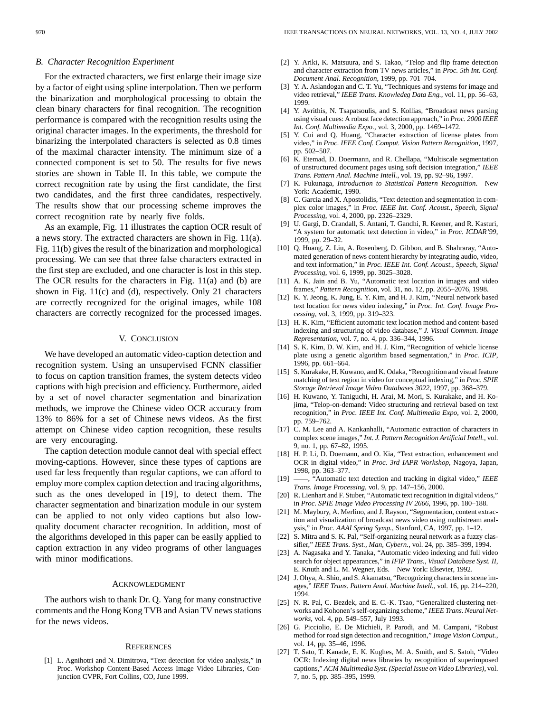## *B. Character Recognition Experiment*

For the extracted characters, we first enlarge their image size by a factor of eight using spline interpolation. Then we perform the binarization and morphological processing to obtain the clean binary characters for final recognition. The recognition performance is compared with the recognition results using the original character images. In the experiments, the threshold for binarizing the interpolated characters is selected as 0.8 times of the maximal character intensity. The minimum size of a connected component is set to 50. The results for five news stories are shown in Table II. In this table, we compute the correct recognition rate by using the first candidate, the first two candidates, and the first three candidates, respectively. The results show that our processing scheme improves the correct recognition rate by nearly five folds.

As an example, Fig. 11 illustrates the caption OCR result of a news story. The extracted characters are shown in Fig. 11(a). Fig. 11(b) gives the result of the binarization and morphological processing. We can see that three false characters extracted in the first step are excluded, and one character is lost in this step. The OCR results for the characters in Fig. 11(a) and (b) are shown in Fig. 11(c) and (d), respectively. Only 21 characters are correctly recognized for the original images, while 108 characters are correctly recognized for the processed images.

## V. CONCLUSION

We have developed an automatic video-caption detection and recognition system. Using an unsupervised FCNN classifier to focus on caption transition frames, the system detects video captions with high precision and efficiency. Furthermore, aided by a set of novel character segmentation and binarization methods, we improve the Chinese video OCR accuracy from 13% to 86% for a set of Chinese news videos. As the first attempt on Chinese video caption recognition, these results are very encouraging.

The caption detection module cannot deal with special effect moving-captions. However, since these types of captions are used far less frequently than regular captions, we can afford to employ more complex caption detection and tracing algorithms, such as the ones developed in [19], to detect them. The character segmentation and binarization module in our system can be applied to not only video captions but also lowquality document character recognition. In addition, most of the algorithms developed in this paper can be easily applied to caption extraction in any video programs of other languages with minor modifications.

#### ACKNOWLEDGMENT

The authors wish to thank Dr. Q. Yang for many constructive comments and the Hong Kong TVB and Asian TV news stations for the news videos.

#### **REFERENCES**

[1] L. Agnihotri and N. Dimitrova, "Text detection for video analysis," in Proc. Workshop Content-Based Access Image Video Libraries, Conjunction CVPR, Fort Collins, CO, June 1999.

- [2] Y. Ariki, K. Matsuura, and S. Takao, "Telop and flip frame detection and character extraction from TV news articles," in *Proc. 5th Int. Conf. Document Anal. Recognition*, 1999, pp. 701–704.
- [3] Y. A. Aslandogan and C. T. Yu, "Techniques and systems for image and video retrieval," *IEEE Trans. Knowledeg Data Eng.*, vol. 11, pp. 56–63, 1999.
- [4] Y. Avrithis, N. Tsapatsoulis, and S. Kollias, "Broadcast news parsing using visual cues: A robust face detection approach," in *Proc. 2000 IEEE Int. Conf. Multimedia Expo.*, vol. 3, 2000, pp. 1469–1472.
- [5] Y. Cui and Q. Huang, "Character extraction of license plates from video," in *Proc. IEEE Conf. Comput. Vision Pattern Recognition*, 1997, pp. 502–507.
- [6] K. Etemad, D. Doermann, and R. Chellapa, "Multiscale segmentation of unstructured document pages using soft decision integration," *IEEE Trans. Pattern Anal. Machine Intell.*, vol. 19, pp. 92–96, 1997.
- [7] K. Fukunaga, *Introduction to Statistical Pattern Recognition*. New York: Academic, 1990.
- [8] C. Garcia and X. Apostolidis, "Text detection and segmentation in complex color images," in *Proc. IEEE Int. Conf. Acoust., Speech, Signal Processing*, vol. 4, 2000, pp. 2326–2329.
- [9] U. Gargi, D. Crandall, S. Antani, T. Gandhi, R. Keener, and R. Kasturi, "A system for automatic text detection in video," in *Proc. ICDAR'99*, 1999, pp. 29–32.
- [10] Q. Huang, Z. Liu, A. Rosenberg, D. Gibbon, and B. Shahraray, "Automated generation of news content hierarchy by integrating audio, video, and text information," in *Proc. IEEE Int. Conf. Acoust., Speech, Signal Processing*, vol. 6, 1999, pp. 3025–3028.
- [11] A. K. Jain and B. Yu, "Automatic text location in images and video frames," *Pattern Recognition*, vol. 31, no. 12, pp. 2055–2076, 1998.
- [12] K. Y. Jeong, K. Jung, E. Y. Kim, and H. J. Kim, "Neural network based text location for news video indexing," in *Proc. Int. Conf. Image Processing*, vol. 3, 1999, pp. 319–323.
- [13] H. K. Kim, "Efficient automatic text location method and content-based indexing and structuring of video database," *J. Visual Commun. Image Representation*, vol. 7, no. 4, pp. 336–344, 1996.
- [14] S. K. Kim, D. W. Kim, and H. J. Kim, "Recognition of vehicle license plate using a genetic algorithm based segmentation," in *Proc. ICIP*, 1996, pp. 661–664.
- [15] S. Kurakake, H. Kuwano, and K. Odaka, "Recognition and visual feature matching of text region in video for conceptual indexing," in *Proc. SPIE Storage Retrieval Image Video Databases 3022*, 1997, pp. 368–379.
- [16] H. Kuwano, Y. Taniguchi, H. Arai, M. Mori, S. Kurakake, and H. Kojima, "Telop-on-demand: Video structuring and retrieval based on text recognition," in *Proc. IEEE Int. Conf. Multimedia Expo*, vol. 2, 2000, pp. 759–762.
- [17] C. M. Lee and A. Kankanhalli, "Automatic extraction of characters in complex scene images," *Int. J. Pattern Recognition Artificial Intell.*, vol. 9, no. 1, pp. 67–82, 1995.
- [18] H. P. Li, D. Doemann, and O. Kia, "Text extraction, enhancement and OCR in digital video," in *Proc. 3rd IAPR Workshop*, Nagoya, Japan, 1998, pp. 363–377.
- [19] , "Automatic text detection and tracking in digital video," *IEEE Trans. Image Processing*, vol. 9, pp. 147–156, 2000.
- [20] R. Lienhart and F. Stuber, "Automatic text recognition in digital videos," in *Proc. SPIE Image Video Processing IV 2666*, 1996, pp. 180–188.
- [21] M. Maybury, A. Merlino, and J. Rayson, "Segmentation, content extraction and visualization of broadcast news video using multistream analysis," in *Proc. AAAI Spring Symp.*, Stanford, CA, 1997, pp. 1–12.
- [22] S. Mitra and S. K. Pal, "Self-organizing neural network as a fuzzy classifier," *IEEE Trans. Syst., Man, Cybern.*, vol. 24, pp. 385–399, 1994.
- [23] A. Nagasaka and Y. Tanaka, "Automatic video indexing and full video search for object appearances," in *IFIP Trans., Visual Database Syst. II*, E. Knuth and L. M. Wegner, Eds. New York: Elsevier, 1992.
- [24] J. Ohya, A. Shio, and S. Akamatsu, "Recognizing characters in scene images," *IEEE Trans. Pattern Anal. Machine Intell.*, vol. 16, pp. 214–220, 1994.
- [25] N. R. Pal, C. Bezdek, and E. C.-K. Tsao, "Generalized clustering networks and Kohonen's self-organizing scheme," *IEEE Trans. Neural Networks*, vol. 4, pp. 549–557, July 1993.
- [26] G. Picciolio, E. De Michieli, P. Parodi, and M. Campani, "Robust method for road sign detection and recognition," *Image Vision Comput.*, vol. 14, pp. 35–46, 1996.
- [27] T. Sato, T. Kanade, E. K. Kughes, M. A. Smith, and S. Satoh, "Video OCR: Indexing digital news libraries by recognition of superimposed captions," *ACM Multimedia Syst. (Special Issue on Video Libraries)*, vol. 7, no. 5, pp. 385–395, 1999.